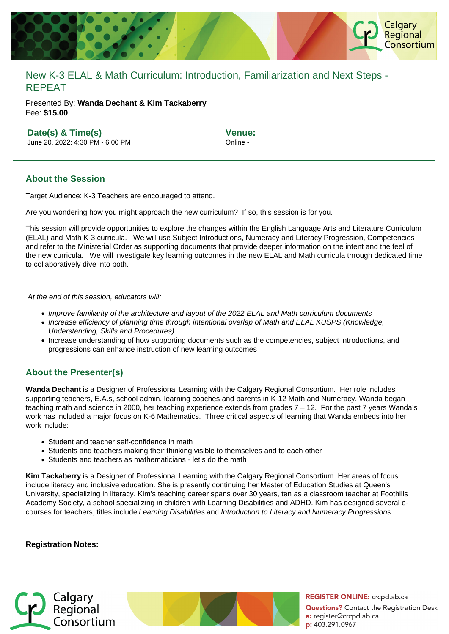

# New K-3 ELAL & Math Curriculum: Introduction, Familiarization and Next Steps - REPEAT

Presented By: **Wanda Dechant & Kim Tackaberry** Fee: **\$15.00** 

### **Date(s) & Time(s)**

June 20, 2022: 4:30 PM - 6:00 PM

**Venue:** Online -

#### **About the Session**

Target Audience: K-3 Teachers are encouraged to attend.

Are you wondering how you might approach the new curriculum? If so, this session is for you.

This session will provide opportunities to explore the changes within the English Language Arts and Literature Curriculum (ELAL) and Math K-3 curricula. We will use Subject Introductions, Numeracy and Literacy Progression, Competencies and refer to the Ministerial Order as supporting documents that provide deeper information on the intent and the feel of the new curricula. We will investigate key learning outcomes in the new ELAL and Math curricula through dedicated time to collaboratively dive into both.

At the end of this session, educators will:

- Improve familiarity of the architecture and layout of the 2022 ELAL and Math curriculum documents
- Increase efficiency of planning time through intentional overlap of Math and ELAL KUSPS (Knowledge, Understanding, Skills and Procedures)
- Increase understanding of how supporting documents such as the competencies, subject introductions, and progressions can enhance instruction of new learning outcomes

## **About the Presenter(s)**

**Wanda Dechant** is a Designer of Professional Learning with the Calgary Regional Consortium. Her role includes supporting teachers, E.A.s, school admin, learning coaches and parents in K-12 Math and Numeracy. Wanda began teaching math and science in 2000, her teaching experience extends from grades 7 – 12. For the past 7 years Wanda's work has included a major focus on K-6 Mathematics. Three critical aspects of learning that Wanda embeds into her work include:

- Student and teacher self-confidence in math
- Students and teachers making their thinking visible to themselves and to each other
- Students and teachers as mathematicians let's do the math

**Kim Tackaberry** is a Designer of Professional Learning with the Calgary Regional Consortium. Her areas of focus include literacy and inclusive education. She is presently continuing her Master of Education Studies at Queen's University, specializing in literacy. Kim's teaching career spans over 30 years, ten as a classroom teacher at Foothills Academy Society, a school specializing in children with Learning Disabilities and ADHD. Kim has designed several ecourses for teachers, titles include Learning Disabilities and Introduction to Literacy and Numeracy Progressions.

#### **Registration Notes:**



**REGISTER ONLINE:** crcpd.ab.ca **Questions?** Contact the Registration Desk e: register@crcpd.ab.ca p: 403.291.0967